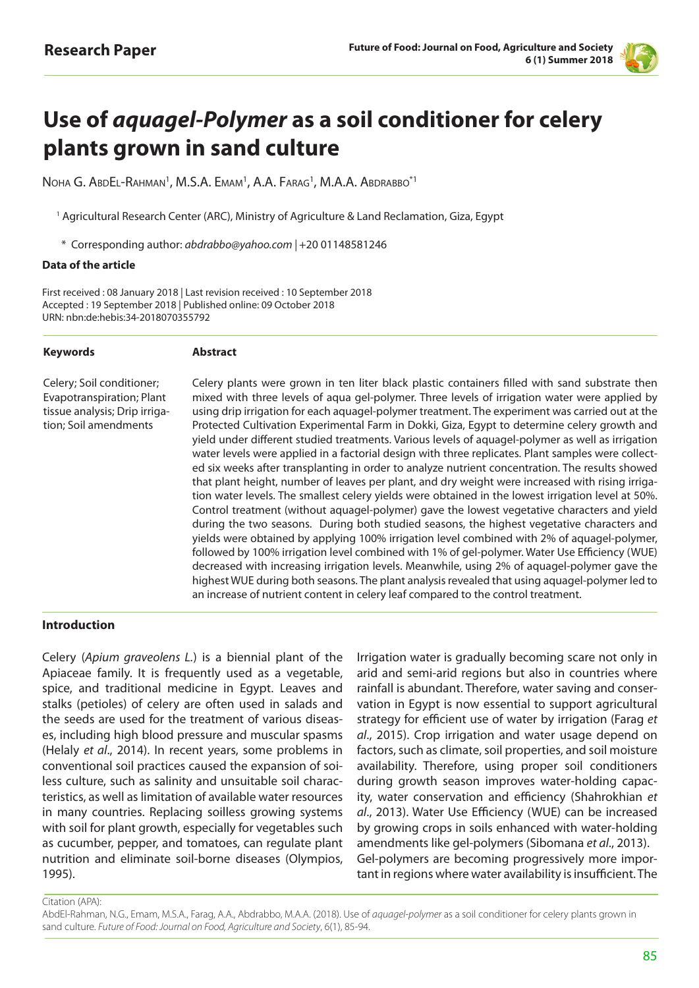

# **Use of** *aquagel-Polymer* **as a soil conditioner for celery plants grown in sand culture**

Noha G. AbdEl-Rahman<sup>1</sup>, M.S.A. Emam<sup>1</sup>, A.A. Farag<sup>1</sup>, M.A.A. Abdrabbo<sup>\*1</sup>

<sup>1</sup> Agricultural Research Center (ARC), Ministry of Agriculture & Land Reclamation, Giza, Egypt

\* Corresponding author: *abdrabbo@yahoo.com |* +20 01148581246

#### **Data of the article**

First received : 08 January 2018 | Last revision received : 10 September 2018 Accepted : 19 September 2018 | Published online: 09 October 2018 URN: nbn:de:hebis:34-2018070355792

#### **Keywords Abstract**

Celery; Soil conditioner; Evapotranspiration; Plant tissue analysis; Drip irrigation; Soil amendments

Celery plants were grown in ten liter black plastic containers filled with sand substrate then mixed with three levels of aqua gel-polymer. Three levels of irrigation water were applied by using drip irrigation for each aquagel-polymer treatment. The experiment was carried out at the Protected Cultivation Experimental Farm in Dokki, Giza, Egypt to determine celery growth and yield under different studied treatments. Various levels of aquagel-polymer as well as irrigation water levels were applied in a factorial design with three replicates. Plant samples were collected six weeks after transplanting in order to analyze nutrient concentration. The results showed that plant height, number of leaves per plant, and dry weight were increased with rising irrigation water levels. The smallest celery yields were obtained in the lowest irrigation level at 50%. Control treatment (without aquagel-polymer) gave the lowest vegetative characters and yield during the two seasons. During both studied seasons, the highest vegetative characters and yields were obtained by applying 100% irrigation level combined with 2% of aquagel-polymer, followed by 100% irrigation level combined with 1% of gel-polymer. Water Use Efficiency (WUE) decreased with increasing irrigation levels. Meanwhile, using 2% of aquagel-polymer gave the highest WUE during both seasons. The plant analysis revealed that using aquagel-polymer led to an increase of nutrient content in celery leaf compared to the control treatment.

#### **Introduction**

Celery (*Apium graveolens L.*) is a biennial plant of the Apiaceae family. It is frequently used as a vegetable, spice, and traditional medicine in Egypt. Leaves and stalks (petioles) of celery are often used in salads and the seeds are used for the treatment of various diseases, including high blood pressure and muscular spasms (Helaly *et al*., 2014). In recent years, some problems in conventional soil practices caused the expansion of soiless culture, such as salinity and unsuitable soil characteristics, as well as limitation of available water resources in many countries. Replacing soilless growing systems with soil for plant growth, especially for vegetables such as cucumber, pepper, and tomatoes, can regulate plant nutrition and eliminate soil-borne diseases (Olympios, 1995).

Irrigation water is gradually becoming scare not only in arid and semi-arid regions but also in countries where rainfall is abundant. Therefore, water saving and conservation in Egypt is now essential to support agricultural strategy for efficient use of water by irrigation (Farag *et al*., 2015). Crop irrigation and water usage depend on factors, such as climate, soil properties, and soil moisture availability. Therefore, using proper soil conditioners during growth season improves water-holding capacity, water conservation and efficiency (Shahrokhian *et al*., 2013). Water Use Efficiency (WUE) can be increased by growing crops in soils enhanced with water-holding amendments like gel-polymers (Sibomana *et al*., 2013). Gel-polymers are becoming progressively more important in regions where water availability is insufficient. The

Citation (APA):

AbdEl-Rahman, N.G., Emam, M.S.A., Farag, A.A., Abdrabbo, M.A.A. (2018). Use of *aquagel-polymer* as a soil conditioner for celery plants grown in sand culture. *Future of Food: Journal on Food, Agriculture and Society*, 6(1), 85-94.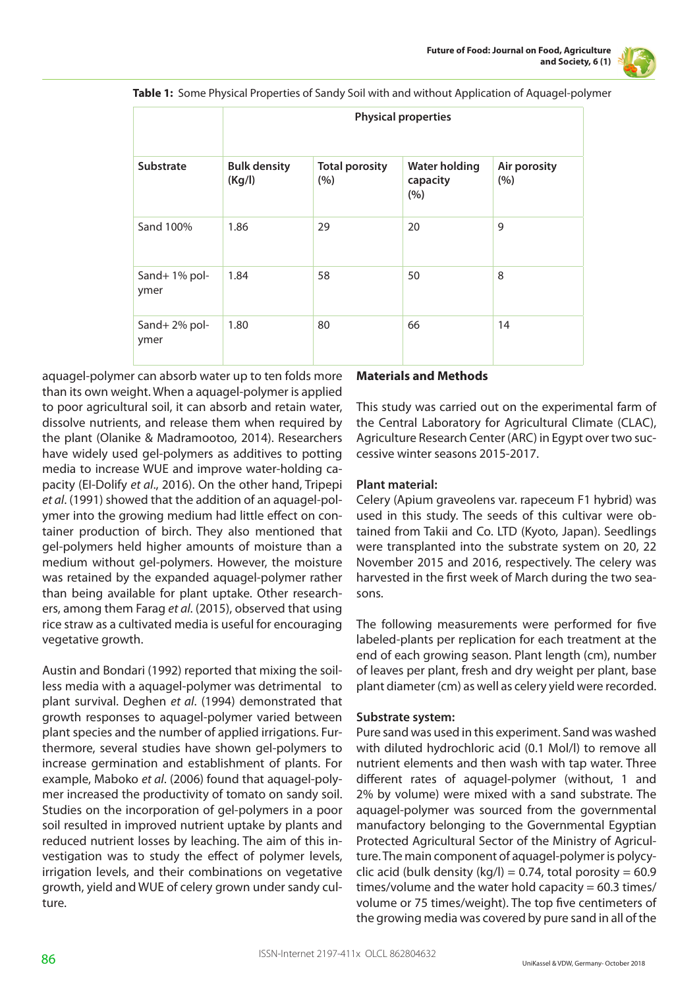

**Table 1:** Some Physical Properties of Sandy Soil with and without Application of Aquagel-polymer

|                      | <b>Physical properties</b>    |                              |                                         |                     |  |  |  |  |  |
|----------------------|-------------------------------|------------------------------|-----------------------------------------|---------------------|--|--|--|--|--|
| <b>Substrate</b>     | <b>Bulk density</b><br>(Kg/l) | <b>Total porosity</b><br>(%) | <b>Water holding</b><br>capacity<br>(%) | Air porosity<br>(%) |  |  |  |  |  |
| Sand 100%            | 1.86                          | 29                           | 20                                      | 9                   |  |  |  |  |  |
| Sand+1% pol-<br>ymer | 1.84                          | 58                           | 50                                      | 8                   |  |  |  |  |  |
| Sand+2% pol-<br>ymer | 1.80                          | 80                           | 66                                      | 14                  |  |  |  |  |  |

aquagel-polymer can absorb water up to ten folds more than its own weight. When a aquagel-polymer is applied to poor agricultural soil, it can absorb and retain water, dissolve nutrients, and release them when required by the plant (Olanike & Madramootoo, 2014). Researchers have widely used gel-polymers as additives to potting media to increase WUE and improve water-holding capacity (EI-Dolify *et al*., 2016). On the other hand, Tripepi *et al*. (1991) showed that the addition of an aquagel-polymer into the growing medium had little effect on container production of birch. They also mentioned that gel-polymers held higher amounts of moisture than a medium without gel-polymers. However, the moisture was retained by the expanded aquagel-polymer rather than being available for plant uptake. Other researchers, among them Farag *et al*. (2015), observed that using rice straw as a cultivated media is useful for encouraging vegetative growth.

Austin and Bondari (1992) reported that mixing the soilless media with a aquagel-polymer was detrimental to plant survival. Deghen *et al*. (1994) demonstrated that growth responses to aquagel-polymer varied between plant species and the number of applied irrigations. Furthermore, several studies have shown gel-polymers to increase germination and establishment of plants. For example, Maboko *et al*. (2006) found that aquagel-polymer increased the productivity of tomato on sandy soil. Studies on the incorporation of gel-polymers in a poor soil resulted in improved nutrient uptake by plants and reduced nutrient losses by leaching. The aim of this investigation was to study the effect of polymer levels, irrigation levels, and their combinations on vegetative growth, yield and WUE of celery grown under sandy culture.

#### **Materials and Methods**

This study was carried out on the experimental farm of the Central Laboratory for Agricultural Climate (CLAC), Agriculture Research Center (ARC) in Egypt over two successive winter seasons 2015-2017.

#### **Plant material:**

Celery (Apium graveolens var. rapeceum F1 hybrid) was used in this study. The seeds of this cultivar were obtained from Takii and Co. LTD (Kyoto, Japan). Seedlings were transplanted into the substrate system on 20, 22 November 2015 and 2016, respectively. The celery was harvested in the first week of March during the two seasons.

The following measurements were performed for five labeled-plants per replication for each treatment at the end of each growing season. Plant length (cm), number of leaves per plant, fresh and dry weight per plant, base plant diameter (cm) as well as celery yield were recorded.

#### **Substrate system:**

Pure sand was used in this experiment. Sand was washed with diluted hydrochloric acid (0.1 Mol/l) to remove all nutrient elements and then wash with tap water. Three different rates of aquagel-polymer (without, 1 and 2% by volume) were mixed with a sand substrate. The aquagel-polymer was sourced from the governmental manufactory belonging to the Governmental Egyptian Protected Agricultural Sector of the Ministry of Agriculture. The main component of aquagel-polymer is polycyclic acid (bulk density (kg/l) = 0.74, total porosity =  $60.9$ times/volume and the water hold capacity  $= 60.3$  times/ volume or 75 times/weight). The top five centimeters of the growing media was covered by pure sand in all of the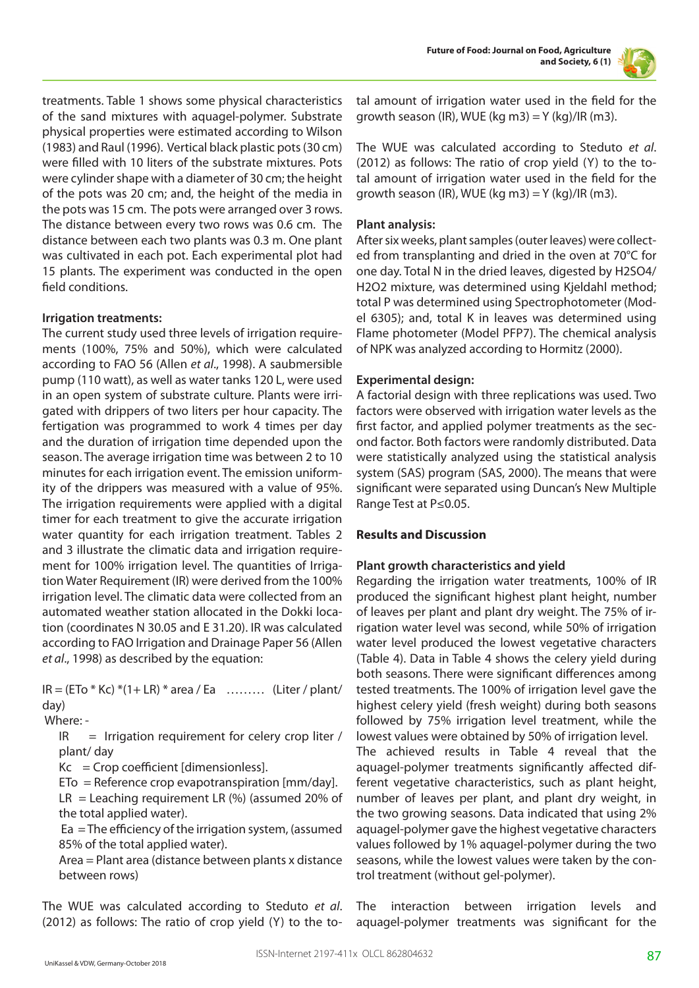

treatments. Table 1 shows some physical characteristics of the sand mixtures with aquagel-polymer. Substrate physical properties were estimated according to Wilson (1983) and Raul (1996). Vertical black plastic pots (30 cm) were filled with 10 liters of the substrate mixtures. Pots were cylinder shape with a diameter of 30 cm; the height of the pots was 20 cm; and, the height of the media in the pots was 15 cm. The pots were arranged over 3 rows. The distance between every two rows was 0.6 cm. The distance between each two plants was 0.3 m. One plant was cultivated in each pot. Each experimental plot had 15 plants. The experiment was conducted in the open field conditions.

#### **Irrigation treatments:**

The current study used three levels of irrigation requirements (100%, 75% and 50%), which were calculated according to FAO 56 (Allen *et al*., 1998). A saubmersible pump (110 watt), as well as water tanks 120 L, were used in an open system of substrate culture. Plants were irrigated with drippers of two liters per hour capacity. The fertigation was programmed to work 4 times per day and the duration of irrigation time depended upon the season. The average irrigation time was between 2 to 10 minutes for each irrigation event. The emission uniformity of the drippers was measured with a value of 95%. The irrigation requirements were applied with a digital timer for each treatment to give the accurate irrigation water quantity for each irrigation treatment. Tables 2 and 3 illustrate the climatic data and irrigation requirement for 100% irrigation level. The quantities of Irrigation Water Requirement (IR) were derived from the 100% irrigation level. The climatic data were collected from an automated weather station allocated in the Dokki location (coordinates N 30.05 and E 31.20). IR was calculated according to FAO Irrigation and Drainage Paper 56 (Allen *et al*., 1998) as described by the equation:

 $IR = (ETo * Kc) * (1 + LR) * area / Ea$  ……… (Liter / plant/ day)

Where: -

 $IR = Irrigation requirement for clearly crop liter /$ plant/ day

 $Kc =$  Crop coefficient [dimensionless].

 $E$ To = Reference crop evapotranspiration [mm/day].

 $LR =$  Leaching requirement LR (%) (assumed 20% of the total applied water).

 Ea = The efficiency of the irrigation system, (assumed 85% of the total applied water).

Area = Plant area (distance between plants x distance between rows)

The WUE was calculated according to Steduto *et al*. (2012) as follows: The ratio of crop yield (Y) to the total amount of irrigation water used in the field for the growth season (IR), WUE (kg m3) =  $Y$  (kg)/IR (m3).

The WUE was calculated according to Steduto *et al*. (2012) as follows: The ratio of crop yield (Y) to the total amount of irrigation water used in the field for the growth season (IR), WUE (kg m3) =  $Y$  (kg)/IR (m3).

# **Plant analysis:**

After six weeks, plant samples (outer leaves) were collected from transplanting and dried in the oven at 70°C for one day. Total N in the dried leaves, digested by H2SO4/ H2O2 mixture, was determined using Kjeldahl method; total P was determined using Spectrophotometer (Model 6305); and, total K in leaves was determined using Flame photometer (Model PFP7). The chemical analysis of NPK was analyzed according to Hormitz (2000).

# **Experimental design:**

A factorial design with three replications was used. Two factors were observed with irrigation water levels as the first factor, and applied polymer treatments as the second factor. Both factors were randomly distributed. Data were statistically analyzed using the statistical analysis system (SAS) program (SAS, 2000). The means that were significant were separated using Duncan's New Multiple Range Test at P≤0.05.

# **Results and Discussion**

# **Plant growth characteristics and yield**

Regarding the irrigation water treatments, 100% of IR produced the significant highest plant height, number of leaves per plant and plant dry weight. The 75% of irrigation water level was second, while 50% of irrigation water level produced the lowest vegetative characters (Table 4). Data in Table 4 shows the celery yield during both seasons. There were significant differences among tested treatments. The 100% of irrigation level gave the highest celery yield (fresh weight) during both seasons followed by 75% irrigation level treatment, while the lowest values were obtained by 50% of irrigation level. The achieved results in Table 4 reveal that the aquagel-polymer treatments significantly affected different vegetative characteristics, such as plant height, number of leaves per plant, and plant dry weight, in the two growing seasons. Data indicated that using 2% aquagel-polymer gave the highest vegetative characters values followed by 1% aquagel-polymer during the two seasons, while the lowest values were taken by the control treatment (without gel-polymer).

The interaction between irrigation levels and aquagel-polymer treatments was significant for the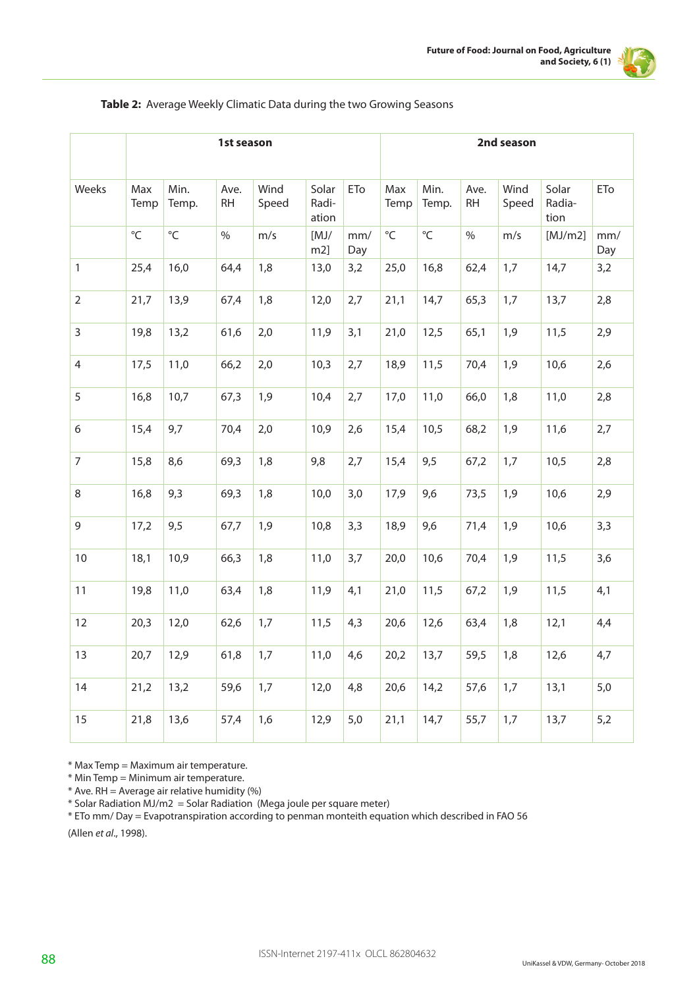

|                | 1st season   |               |                   |               |                         |            |              | 2nd season    |                   |               |                         |            |
|----------------|--------------|---------------|-------------------|---------------|-------------------------|------------|--------------|---------------|-------------------|---------------|-------------------------|------------|
| Weeks          | Max<br>Temp  | Min.<br>Temp. | Ave.<br><b>RH</b> | Wind<br>Speed | Solar<br>Radi-<br>ation | ETo        | Max<br>Temp  | Min.<br>Temp. | Ave.<br><b>RH</b> | Wind<br>Speed | Solar<br>Radia-<br>tion | ETo        |
|                | $\mathrm{C}$ | $^{\circ}$ C  | $\frac{0}{0}$     | m/s           | [MJ/<br>$m2$ ]          | mm/<br>Day | $^{\circ}$ C | $^{\circ}$ C  | $\%$              | m/s           | [MJ/m2]                 | mm/<br>Day |
| $\mathbf{1}$   | 25,4         | 16,0          | 64,4              | 1,8           | 13,0                    | 3,2        | 25,0         | 16,8          | 62,4              | 1,7           | 14,7                    | 3,2        |
| 2              | 21,7         | 13,9          | 67,4              | 1,8           | 12,0                    | 2,7        | 21,1         | 14,7          | 65,3              | 1,7           | 13,7                    | 2,8        |
| 3              | 19,8         | 13,2          | 61,6              | 2,0           | 11,9                    | 3,1        | 21,0         | 12,5          | 65,1              | 1,9           | 11,5                    | 2,9        |
| 4              | 17,5         | 11,0          | 66,2              | 2,0           | 10,3                    | 2,7        | 18,9         | 11,5          | 70,4              | 1,9           | 10,6                    | 2,6        |
| 5              | 16,8         | 10,7          | 67,3              | 1,9           | 10,4                    | 2,7        | 17,0         | 11,0          | 66,0              | 1,8           | 11,0                    | 2,8        |
| 6              | 15,4         | 9,7           | 70,4              | 2,0           | 10,9                    | 2,6        | 15,4         | 10,5          | 68,2              | 1,9           | 11,6                    | 2,7        |
| $\overline{7}$ | 15,8         | 8,6           | 69,3              | 1,8           | 9,8                     | 2,7        | 15,4         | 9,5           | 67,2              | 1,7           | 10,5                    | 2,8        |
| 8              | 16,8         | 9,3           | 69,3              | 1,8           | 10,0                    | 3,0        | 17,9         | 9,6           | 73,5              | 1,9           | 10,6                    | 2,9        |
| 9              | 17,2         | 9,5           | 67,7              | 1,9           | 10,8                    | 3,3        | 18,9         | 9,6           | 71,4              | 1,9           | 10,6                    | 3,3        |
| 10             | 18,1         | 10,9          | 66,3              | 1,8           | 11,0                    | 3,7        | 20,0         | 10,6          | 70,4              | 1,9           | 11,5                    | 3,6        |
| 11             | 19,8         | 11,0          | 63,4              | 1,8           | 11,9                    | 4,1        | 21,0         | 11,5          | 67,2              | 1,9           | 11,5                    | 4,1        |
| 12             | 20,3         | 12,0          | 62,6              | 1,7           | 11,5                    | 4,3        | 20,6         | 12,6          | 63,4              | 1,8           | 12,1                    | 4,4        |
| 13             | 20,7         | 12,9          | 61,8              | 1,7           | 11,0                    | 4,6        | 20,2         | 13,7          | 59,5              | 1,8           | 12,6                    | 4,7        |
| 14             | 21,2         | 13,2          | 59,6              | 1,7           | 12,0                    | 4,8        | 20,6         | 14,2          | 57,6              | 1,7           | 13,1                    | 5,0        |
| 15             | 21,8         | 13,6          | 57,4              | 1,6           | 12,9                    | 5,0        | 21,1         | 14,7          | 55,7              | 1,7           | 13,7                    | 5,2        |

#### **Table 2:** Average Weekly Climatic Data during the two Growing Seasons

\* Max Temp = Maximum air temperature.

\* Min Temp = Minimum air temperature.

 $*$  Ave. RH = Average air relative humidity (%)

\* Solar Radiation MJ/m2 = Solar Radiation (Mega joule per square meter)

\* ETo mm/ Day = Evapotranspiration according to penman monteith equation which described in FAO 56

(Allen *et al*., 1998).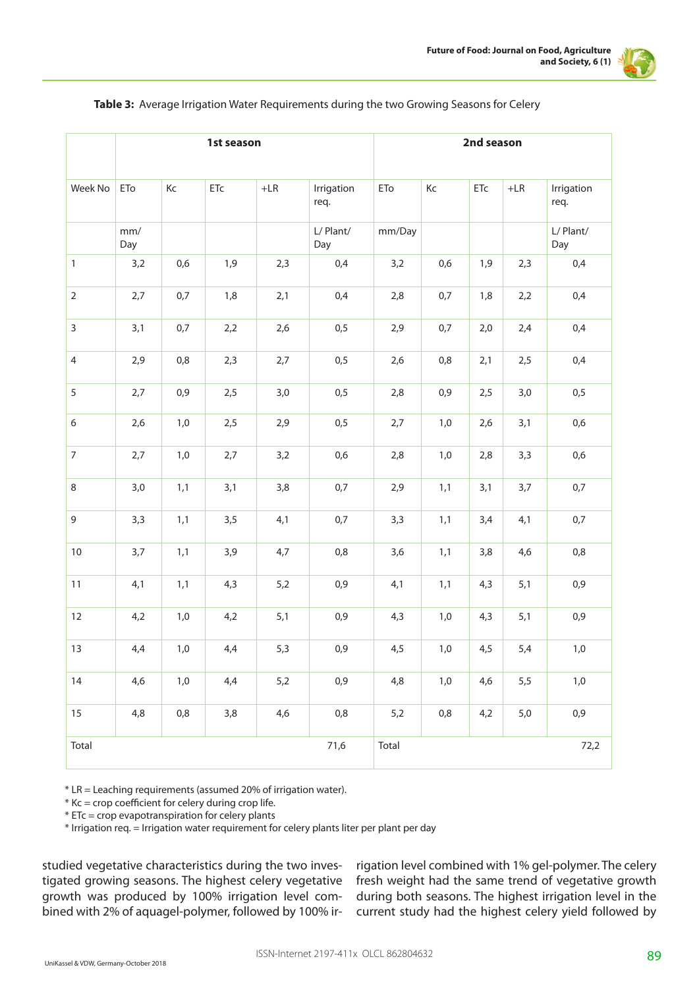

|                | 1st season |       |                         |             |                    |             | 2nd season |     |             |                    |  |
|----------------|------------|-------|-------------------------|-------------|--------------------|-------------|------------|-----|-------------|--------------------|--|
| Week No        | ETo        | Кc    | ${\sf E}{\sf T}{\sf c}$ | $+{\sf LR}$ | Irrigation<br>req. | ${\sf ETo}$ | Кc         | ETc | $+{\sf LR}$ | Irrigation<br>req. |  |
|                | mm/<br>Day |       |                         |             | L/Plant/<br>Day    | mm/Day      |            |     |             | L/ Plant/<br>Day   |  |
| $\mathbf{1}$   | 3,2        | 0,6   | 1,9                     | 2,3         | 0,4                | 3,2         | 0,6        | 1,9 | 2,3         | 0,4                |  |
| $\overline{2}$ | 2,7        | 0,7   | 1,8                     | 2,1         | 0,4                | 2,8         | 0,7        | 1,8 | 2,2         | 0,4                |  |
| $\overline{3}$ | 3,1        | 0,7   | 2,2                     | 2,6         | 0,5                | 2,9         | 0,7        | 2,0 | 2,4         | 0,4                |  |
| $\overline{4}$ | 2,9        | 0,8   | 2,3                     | 2,7         | 0,5                | 2,6         | 0,8        | 2,1 | 2,5         | 0,4                |  |
| 5              | 2,7        | 0,9   | 2,5                     | 3,0         | 0,5                | 2,8         | 0,9        | 2,5 | 3,0         | 0,5                |  |
| 6              | 2,6        | 1,0   | 2,5                     | 2,9         | 0,5                | 2,7         | $1,0$      | 2,6 | 3,1         | 0,6                |  |
| $\overline{7}$ | 2,7        | 1,0   | 2,7                     | 3,2         | 0,6                | 2,8         | 1,0        | 2,8 | 3,3         | 0,6                |  |
| 8              | 3,0        | 1,1   | 3,1                     | 3,8         | 0,7                | 2,9         | 1,1        | 3,1 | 3,7         | 0,7                |  |
| 9              | 3,3        | 1,1   | 3,5                     | 4,1         | 0,7                | 3,3         | 1,1        | 3,4 | 4,1         | 0,7                |  |
| $10\,$         | 3,7        | 1,1   | 3,9                     | 4,7         | $0,8$              | 3,6         | 1,1        | 3,8 | 4,6         | 0,8                |  |
| 11             | 4,1        | 1,1   | 4,3                     | 5,2         | 0,9                | 4,1         | 1,1        | 4,3 | 5,1         | 0,9                |  |
| 12             | 4,2        | 1,0   | 4,2                     | 5,1         | 0,9                | 4,3         | 1,0        | 4,3 | 5,1         | 0,9                |  |
| 13             | 4,4        | $1,0$ | 4,4                     | 5,3         | 0,9                | 4,5         | 1,0        | 4,5 | 5,4         | $1,0$              |  |
| 14             | 4,6        | 1,0   | 4,4                     | 5,2         | 0,9                | 4,8         | 1,0        | 4,6 | 5,5         | $1,0$              |  |
| 15             | 4,8        | 0,8   | 3,8                     | 4,6         | 0,8                | 5,2         | 0,8        | 4,2 | $5,0$       | 0,9                |  |
| Total          |            |       | 71,6                    | Total       | 72,2               |             |            |     |             |                    |  |

**Table 3:** Average Irrigation Water Requirements during the two Growing Seasons for Celery

\* LR = Leaching requirements (assumed 20% of irrigation water).

 $*$  Kc = crop coefficient for celery during crop life.

 $*$  ETc = crop evapotranspiration for celery plants

\* Irrigation req. = Irrigation water requirement for celery plants liter per plant per day

studied vegetative characteristics during the two investigated growing seasons. The highest celery vegetative growth was produced by 100% irrigation level combined with 2% of aquagel-polymer, followed by 100% irrigation level combined with 1% gel-polymer. The celery fresh weight had the same trend of vegetative growth during both seasons. The highest irrigation level in the current study had the highest celery yield followed by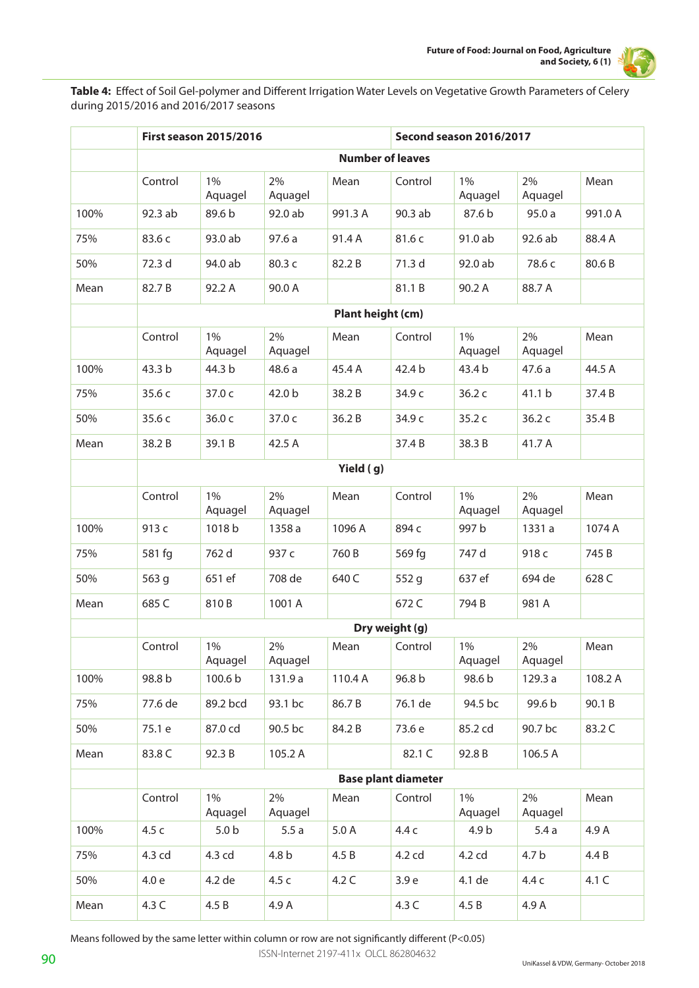

Table 4: Effect of Soil Gel-polymer and Different Irrigation Water Levels on Vegetative Growth Parameters of Celery during 2015/2016 and 2016/2017 seasons

|      |           | <b>First season 2015/2016</b> |                  |                         | Second season 2016/2017    |                  |                  |         |  |  |  |  |
|------|-----------|-------------------------------|------------------|-------------------------|----------------------------|------------------|------------------|---------|--|--|--|--|
|      |           |                               |                  | <b>Number of leaves</b> |                            |                  |                  |         |  |  |  |  |
|      | Control   | 1%<br>Aquagel                 | 2%<br>Aquagel    | Mean                    | Control                    | $1\%$<br>Aquagel | 2%<br>Aquagel    | Mean    |  |  |  |  |
| 100% | 92.3 ab   | 89.6 b                        | 92.0 ab          | 991.3 A                 | 90.3 ab                    | 87.6 b           | 95.0a            | 991.0 A |  |  |  |  |
| 75%  | 83.6 c    | 93.0 ab                       | 97.6a            | 91.4 A                  | 81.6 c                     | 91.0 ab          | 92.6 ab          | 88.4 A  |  |  |  |  |
| 50%  | 72.3 d    | 94.0 ab                       | 80.3 c           | 82.2B                   | 71.3 d                     | 92.0 ab          | 78.6 c           | 80.6B   |  |  |  |  |
| Mean | 82.7B     | 92.2 A                        | 90.0 A           |                         | 81.1B                      | 90.2 A           | 88.7 A           |         |  |  |  |  |
|      |           |                               |                  | Plant height (cm)       |                            |                  |                  |         |  |  |  |  |
|      | Control   | $1\%$<br>Aquagel              | 2%<br>Aquagel    | Mean                    | Control                    | $1\%$<br>Aquagel | 2%<br>Aquagel    | Mean    |  |  |  |  |
| 100% | 43.3 b    | 44.3 b                        | 48.6 a           | 45.4 A                  | 42.4 b                     | 43.4 b           | 47.6a            | 44.5 A  |  |  |  |  |
| 75%  | 35.6 c    | 37.0 c                        | 42.0 b           | 38.2B                   | 34.9 c                     | 36.2c            | 41.1 b           | 37.4 B  |  |  |  |  |
| 50%  | 35.6 c    | 36.0 c                        | 37.0 c           | 36.2B                   | 34.9 c                     | 35.2 c           | 36.2 c           | 35.4B   |  |  |  |  |
| Mean | 38.2B     | 39.1B                         | 42.5 A           |                         | 37.4B                      | 38.3 B           | 41.7 A           |         |  |  |  |  |
|      | Yield (g) |                               |                  |                         |                            |                  |                  |         |  |  |  |  |
|      | Control   | $1\%$<br>Aquagel              | 2%<br>Aquagel    | Mean                    | Control                    | $1\%$<br>Aquagel | 2%<br>Aquagel    | Mean    |  |  |  |  |
| 100% | 913 c     | 1018b                         | 1358 a           | 1096 A                  | 894 c                      | 997 b            | 1331 a           | 1074 A  |  |  |  |  |
| 75%  | 581 fg    | 762 d                         | 937 c            | 760B                    | 569 fg                     | 747 d            | 918 <sub>c</sub> | 745 B   |  |  |  |  |
| 50%  | 563 g     | 651 ef                        | 708 de           | 640 C                   | 552 g                      | 637 ef           | 694 de           | 628 C   |  |  |  |  |
| Mean | 685 C     | 810B                          | 1001 A           |                         | 672 C                      | 794B             | 981 A            |         |  |  |  |  |
|      |           |                               |                  |                         | Dry weight (g)             |                  |                  |         |  |  |  |  |
|      | Control   | 1%<br>Aquagel                 | 2%<br>Aquagel    | Mean                    | Control                    | 1%<br>Aquagel    | 2%<br>Aquagel    | Mean    |  |  |  |  |
| 100% | 98.8 b    | 100.6 b                       | 131.9 a          | 110.4 A                 | 96.8 b                     | 98.6 b           | 129.3 a          | 108.2 A |  |  |  |  |
| 75%  | 77.6 de   | 89.2 bcd                      | 93.1 bc          | 86.7B                   | 76.1 de                    | 94.5 bc          | 99.6 b           | 90.1B   |  |  |  |  |
| 50%  | 75.1 e    | 87.0 cd                       | 90.5 bc          | 84.2B                   | 73.6 e                     | 85.2 cd          | 90.7 bc          | 83.2 C  |  |  |  |  |
| Mean | 83.8 C    | 92.3 B                        | 105.2 A          |                         | 82.1 C                     | 92.8 B           | 106.5 A          |         |  |  |  |  |
|      |           |                               |                  |                         | <b>Base plant diameter</b> |                  |                  |         |  |  |  |  |
|      | Control   | 1%<br>Aquagel                 | 2%<br>Aquagel    | Mean                    | Control                    | $1\%$<br>Aquagel | 2%<br>Aquagel    | Mean    |  |  |  |  |
| 100% | 4.5 c     | 5.0 <sub>b</sub>              | 5.5a             | 5.0A                    | 4.4 c                      | 4.9 b            | 5.4a             | 4.9 A   |  |  |  |  |
| 75%  | 4.3 cd    | 4.3 cd                        | 4.8 <sub>b</sub> | 4.5B                    | 4.2 cd                     | 4.2 cd           | 4.7 <sub>b</sub> | 4.4 B   |  |  |  |  |
| 50%  | 4.0 e     | 4.2 de                        | 4.5 c            | 4.2C                    | 3.9 e                      | 4.1 de           | 4.4 c            | 4.1 C   |  |  |  |  |
| Mean | 4.3 C     | 4.5 B                         | 4.9 A            |                         | 4.3 C                      | 4.5B             | 4.9 A            |         |  |  |  |  |

Means followed by the same letter within column or row are not significantly different (P<0.05)

ISSN-Internet 2197-411x OLCL 862804632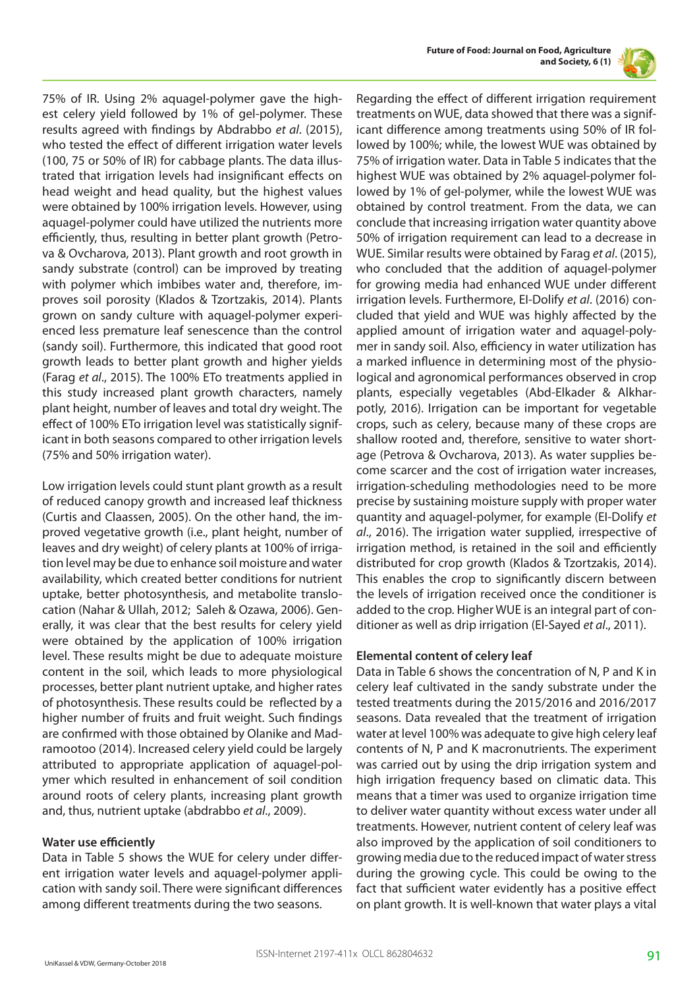



75% of IR. Using 2% aquagel-polymer gave the highest celery yield followed by 1% of gel-polymer. These results agreed with findings by Abdrabbo *et al*. (2015), who tested the effect of different irrigation water levels (100, 75 or 50% of IR) for cabbage plants. The data illustrated that irrigation levels had insignificant effects on head weight and head quality, but the highest values were obtained by 100% irrigation levels. However, using aquagel-polymer could have utilized the nutrients more efficiently, thus, resulting in better plant growth (Petrova & Ovcharova, 2013). Plant growth and root growth in sandy substrate (control) can be improved by treating with polymer which imbibes water and, therefore, improves soil porosity (Klados & Tzortzakis, 2014). Plants grown on sandy culture with aquagel-polymer experienced less premature leaf senescence than the control (sandy soil). Furthermore, this indicated that good root growth leads to better plant growth and higher yields (Farag *et al*., 2015). The 100% ETo treatments applied in this study increased plant growth characters, namely plant height, number of leaves and total dry weight. The effect of 100% ETo irrigation level was statistically significant in both seasons compared to other irrigation levels (75% and 50% irrigation water).

Low irrigation levels could stunt plant growth as a result of reduced canopy growth and increased leaf thickness (Curtis and Claassen, 2005). On the other hand, the improved vegetative growth (i.e., plant height, number of leaves and dry weight) of celery plants at 100% of irrigation level may be due to enhance soil moisture and water availability, which created better conditions for nutrient uptake, better photosynthesis, and metabolite translocation (Nahar & Ullah, 2012; Saleh & Ozawa, 2006). Generally, it was clear that the best results for celery yield were obtained by the application of 100% irrigation level. These results might be due to adequate moisture content in the soil, which leads to more physiological processes, better plant nutrient uptake, and higher rates of photosynthesis. These results could be reflected by a higher number of fruits and fruit weight. Such findings are confirmed with those obtained by Olanike and Madramootoo (2014). Increased celery yield could be largely attributed to appropriate application of aquagel-polymer which resulted in enhancement of soil condition around roots of celery plants, increasing plant growth and, thus, nutrient uptake (abdrabbo *et al*., 2009).

#### **Water use efficiently**

Data in Table 5 shows the WUE for celery under different irrigation water levels and aquagel-polymer application with sandy soil. There were significant differences among different treatments during the two seasons.

Regarding the effect of different irrigation requirement treatments on WUE, data showed that there was a significant difference among treatments using 50% of IR followed by 100%; while, the lowest WUE was obtained by 75% of irrigation water. Data in Table 5 indicates that the highest WUE was obtained by 2% aquagel-polymer followed by 1% of gel-polymer, while the lowest WUE was obtained by control treatment. From the data, we can conclude that increasing irrigation water quantity above 50% of irrigation requirement can lead to a decrease in WUE. Similar results were obtained by Farag *et al*. (2015), who concluded that the addition of aquagel-polymer for growing media had enhanced WUE under different irrigation levels. Furthermore, EI-Dolify *et al*. (2016) concluded that yield and WUE was highly affected by the applied amount of irrigation water and aquagel-polymer in sandy soil. Also, efficiency in water utilization has a marked influence in determining most of the physiological and agronomical performances observed in crop plants, especially vegetables (Abd-Elkader & Alkharpotly, 2016). Irrigation can be important for vegetable crops, such as celery, because many of these crops are shallow rooted and, therefore, sensitive to water shortage (Petrova & Ovcharova, 2013). As water supplies become scarcer and the cost of irrigation water increases, irrigation-scheduling methodologies need to be more precise by sustaining moisture supply with proper water quantity and aquagel-polymer, for example (EI-Dolify *et al*., 2016). The irrigation water supplied, irrespective of irrigation method, is retained in the soil and efficiently distributed for crop growth (Klados & Tzortzakis, 2014). This enables the crop to significantly discern between the levels of irrigation received once the conditioner is added to the crop. Higher WUE is an integral part of conditioner as well as drip irrigation (El-Sayed *et al*., 2011).

# **Elemental content of celery leaf**

Data in Table 6 shows the concentration of N, P and K in celery leaf cultivated in the sandy substrate under the tested treatments during the 2015/2016 and 2016/2017 seasons. Data revealed that the treatment of irrigation water at level 100% was adequate to give high celery leaf contents of N, P and K macronutrients. The experiment was carried out by using the drip irrigation system and high irrigation frequency based on climatic data. This means that a timer was used to organize irrigation time to deliver water quantity without excess water under all treatments. However, nutrient content of celery leaf was also improved by the application of soil conditioners to growing media due to the reduced impact of water stress during the growing cycle. This could be owing to the fact that sufficient water evidently has a positive effect on plant growth. It is well-known that water plays a vital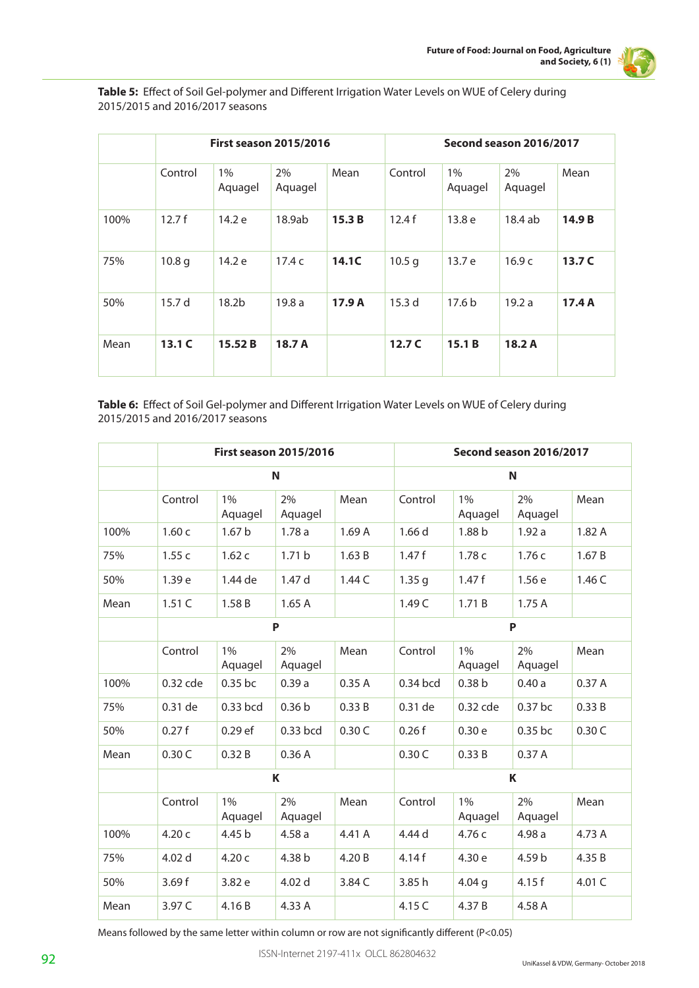

Table 5: Effect of Soil Gel-polymer and Different Irrigation Water Levels on WUE of Celery during 2015/2015 and 2016/2017 seasons

|      |                   | <b>First season 2015/2016</b> |               |        | Second season 2016/2017 |                   |               |        |
|------|-------------------|-------------------------------|---------------|--------|-------------------------|-------------------|---------------|--------|
|      | Control           | 1%<br>Aquagel                 | 2%<br>Aquagel | Mean   | Control                 | 1%<br>Aquagel     | 2%<br>Aquagel | Mean   |
| 100% | 12.7f             | 14.2 e                        | 18.9ab        | 15.3B  | 12.4f                   | 13.8 <sub>e</sub> | 18.4 ab       | 14.9 B |
| 75%  | 10.8 <sub>q</sub> | 14.2 e                        | 17.4c         | 14.1C  | 10.5 <sub>q</sub>       | 13.7 e            | 16.9c         | 13.7 C |
| 50%  | 15.7 <sub>d</sub> | 18.2 <sub>b</sub>             | 19.8a         | 17.9 A | 15.3 <sub>d</sub>       | 17.6 <sub>b</sub> | 19.2a         | 17.4A  |
| Mean | 13.1C             | 15.52B                        | 18.7 A        |        | 12.7 <sub>C</sub>       | 15.1B             | 18.2A         |        |

Table 6: Effect of Soil Gel-polymer and Different Irrigation Water Levels on WUE of Celery during 2015/2015 and 2016/2017 seasons

|      |          |                   | <b>First season 2015/2016</b> |        | Second season 2016/2017 |                   |               |        |  |
|------|----------|-------------------|-------------------------------|--------|-------------------------|-------------------|---------------|--------|--|
|      |          |                   | N                             | N      |                         |                   |               |        |  |
|      | Control  | 1%<br>Aquagel     | 2%<br>Aquagel                 | Mean   | Control                 | 1%<br>Aquagel     | 2%<br>Aquagel | Mean   |  |
| 100% | 1.60c    | 1.67 <sub>b</sub> | 1.78a                         | 1.69A  | 1.66 d                  | 1.88 b            | 1.92a         | 1.82A  |  |
| 75%  | 1.55c    | 1.62c             | 1.71 <sub>b</sub>             | 1.63B  | 1.47f                   | 1.78 c            | 1.76c         | 1.67B  |  |
| 50%  | 1.39 e   | 1.44 de           | 1.47 d                        | 1.44C  | 1.35 <sub>g</sub>       | 1.47f             | 1.56e         | 1.46 C |  |
| Mean | 1.51C    | 1.58 B            | 1.65A                         |        | 1.49 C                  | 1.71B             | 1.75A         |        |  |
|      |          |                   | P                             |        | P                       |                   |               |        |  |
|      | Control  | 1%<br>Aquagel     | 2%<br>Aquagel                 | Mean   | Control                 | 1%<br>Aquagel     | 2%<br>Aquagel | Mean   |  |
| 100% | 0.32 cde | 0.35 bc           | 0.39a                         | 0.35A  | 0.34 bcd                | 0.38 <sub>b</sub> | 0.40a         | 0.37A  |  |
| 75%  | 0.31 de  | 0.33 bcd          | 0.36 <sub>b</sub>             | 0.33 B | 0.31 de                 | 0.32 cde          | 0.37 bc       | 0.33B  |  |
| 50%  | 0.27f    | $0.29$ ef         | 0.33 bcd                      | 0.30C  | 0.26f                   | 0.30e             | 0.35 bc       | 0.30C  |  |
| Mean | 0.30C    | 0.32B             | 0.36A                         |        | 0.30C                   | 0.33B             | 0.37A         |        |  |
|      |          |                   | K                             |        | K                       |                   |               |        |  |
|      | Control  | 1%<br>Aquagel     | 2%<br>Aquagel                 | Mean   | Control                 | 1%<br>Aquagel     | 2%<br>Aquagel | Mean   |  |
| 100% | 4.20 c   | 4.45 b            | 4.58a                         | 4.41 A | 4.44 d                  | 4.76 с            | 4.98a         | 4.73 A |  |
| 75%  | 4.02 d   | 4.20c             | 4.38 b                        | 4.20 B | 4.14f                   | 4.30 e            | 4.59 b        | 4.35 B |  |
| 50%  | 3.69f    | 3.82 e            | 4.02 d                        | 3.84 C | 3.85 h                  | 4.04 <sub>q</sub> | 4.15f         | 4.01 C |  |
| Mean | 3.97 C   | 4.16B             | 4.33 A                        |        | 4.15 C                  | 4.37B             | 4.58 A        |        |  |

Means followed by the same letter within column or row are not significantly different (P<0.05)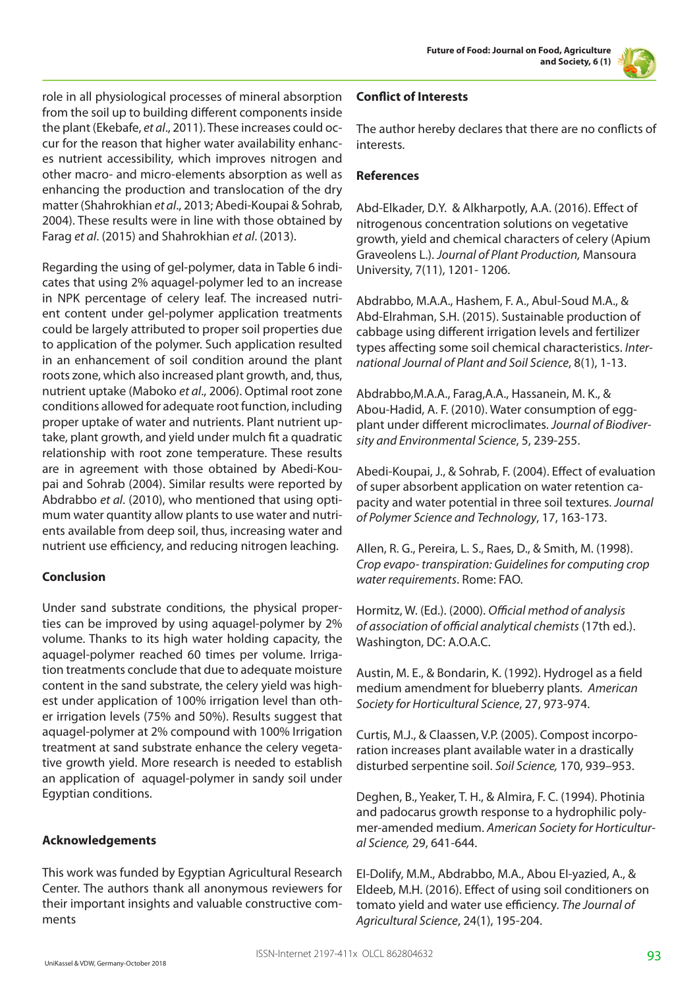role in all physiological processes of mineral absorption from the soil up to building different components inside the plant (Ekebafe, *et al*., 2011). These increases could occur for the reason that higher water availability enhances nutrient accessibility, which improves nitrogen and other macro- and micro-elements absorption as well as enhancing the production and translocation of the dry matter (Shahrokhian *et al*., 2013; Abedi-Koupai & Sohrab, 2004). These results were in line with those obtained by Farag *et al*. (2015) and Shahrokhian *et al*. (2013).

Regarding the using of gel-polymer, data in Table 6 indicates that using 2% aquagel-polymer led to an increase in NPK percentage of celery leaf. The increased nutrient content under gel-polymer application treatments could be largely attributed to proper soil properties due to application of the polymer. Such application resulted in an enhancement of soil condition around the plant roots zone, which also increased plant growth, and, thus, nutrient uptake (Maboko *et al*., 2006). Optimal root zone conditions allowed for adequate root function, including proper uptake of water and nutrients. Plant nutrient uptake, plant growth, and yield under mulch fit a quadratic relationship with root zone temperature. These results are in agreement with those obtained by Abedi-Koupai and Sohrab (2004). Similar results were reported by Abdrabbo *et al*. (2010), who mentioned that using optimum water quantity allow plants to use water and nutrients available from deep soil, thus, increasing water and nutrient use efficiency, and reducing nitrogen leaching.

# **Conclusion**

Under sand substrate conditions, the physical properties can be improved by using aquagel-polymer by 2% volume. Thanks to its high water holding capacity, the aquagel-polymer reached 60 times per volume. Irrigation treatments conclude that due to adequate moisture content in the sand substrate, the celery yield was highest under application of 100% irrigation level than other irrigation levels (75% and 50%). Results suggest that aquagel-polymer at 2% compound with 100% Irrigation treatment at sand substrate enhance the celery vegetative growth yield. More research is needed to establish an application of aquagel-polymer in sandy soil under Egyptian conditions.

# **Acknowledgements**

This work was funded by Egyptian Agricultural Research Center. The authors thank all anonymous reviewers for their important insights and valuable constructive comments

# **Conflict of Interests**

The author hereby declares that there are no conflicts of interests.

# **References**

Abd-Elkader, D.Y. & Alkharpotly, A.A. (2016). Effect of nitrogenous concentration solutions on vegetative growth, yield and chemical characters of celery (Apium Graveolens L.). *Journal of Plant Production,* Mansoura University, 7(11), 1201- 1206.

Abdrabbo, M.A.A., Hashem, F. A., Abul-Soud M.A., & Abd-Elrahman, S.H. (2015). Sustainable production of cabbage using different irrigation levels and fertilizer types affecting some soil chemical characteristics. *International Journal of Plant and Soil Science*, 8(1), 1-13.

Abdrabbo,M.A.A., Farag,A.A., Hassanein, M. K., & Abou-Hadid, A. F. (2010). Water consumption of eggplant under different microclimates. *Journal of Biodiversity and Environmental Science*, 5, 239-255.

Abedi-Koupai, J., & Sohrab, F. (2004). Effect of evaluation of super absorbent application on water retention capacity and water potential in three soil textures. *Journal of Polymer Science and Technology*, 17, 163-173.

Allen, R. G., Pereira, L. S., Raes, D., & Smith, M. (1998). *Crop evapo- transpiration: Guidelines for computing crop water requirements*. Rome: FAO.

Hormitz, W. (Ed.). (2000). *Official method of analysis of association of official analytical chemists* (17th ed.). Washington, DC: A.O.A.C.

Austin, M. E., & Bondarin, K. (1992). Hydrogel as a field medium amendment for blueberry plants. *American Society for Horticultural Science*, 27, 973-974.

Curtis, M.J., & Claassen, V.P. (2005). Compost incorporation increases plant available water in a drastically disturbed serpentine soil. *Soil Science,* 170, 939–953.

Deghen, B., Yeaker, T. H., & Almira, F. C. (1994). Photinia and padocarus growth response to a hydrophilic polymer-amended medium. *American Society for Horticultural Science,* 29, 641-644.

EI-Dolify, M.M., Abdrabbo, M.A., Abou EI-yazied, A., & Eldeeb, M.H. (2016). Effect of using soil conditioners on tomato yield and water use efficiency. *The Journal of Agricultural Science*, 24(1), 195-204.